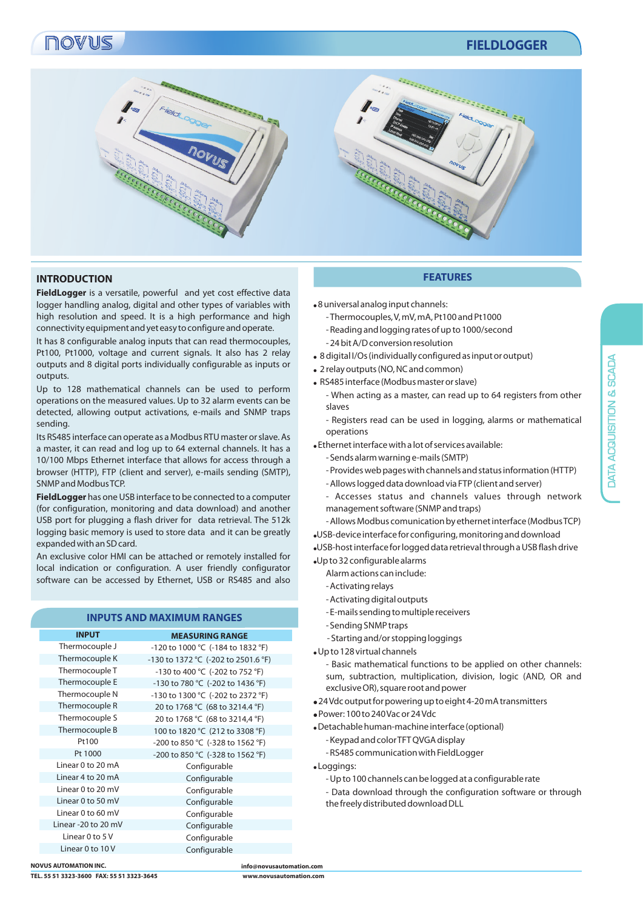# novus

# **FIELDLOGGER**



## **INTRODUCTION FEATURES**

**FieldLogger** is a versatile, powerful and yet cost effective data logger handling analog, digital and other types of variables with high resolution and speed. It is a high performance and high connectivity equipment and yet easy to configure and operate.

It has 8 configurable analog inputs that can read thermocouples, Pt100, Pt1000, voltage and current signals. It also has 2 relay outputs and 8 digital ports individually configurable as inputs or outputs.

Up to 128 mathematical channels can be used to perform operations on the measured values. Up to 32 alarm events can be detected, allowing output activations, e-mails and SNMP traps sending.

Its RS485 interface can operate as a Modbus RTU master or slave. As a master, it can read and log up to 64 external channels. It has a 10/100 Mbps Ethernet interface that allows for access through a browser (HTTP), FTP (client and server), e-mails sending (SMTP), SNMP and Modbus TCP.

**FieldLogger** has one USB interface to be connected to a computer (for configuration, monitoring and data download) and another USB port for plugging a flash driver for data retrieval. The 512k logging basic memory is used to store data and it can be greatly expanded with an SD card.

An exclusive color HMI can be attached or remotely installed for local indication or configuration. A user friendly configurator software can be accessed by Ethernet, USB or RS485 and also

## **INPUTS AND MAXIMUM RANGES**

| <b>INPUT</b>        | <b>MEASURING RANGE</b>              |
|---------------------|-------------------------------------|
| Thermocouple J      | -120 to 1000 °C (-184 to 1832 °F)   |
| Thermocouple K      | -130 to 1372 °C (-202 to 2501.6 °F) |
| Thermocouple T      | -130 to 400 °C (-202 to 752 °F)     |
| Thermocouple E      | -130 to 780 °C (-202 to 1436 °F)    |
| Thermocouple N      | -130 to 1300 °C (-202 to 2372 °F)   |
| Thermocouple R      | 20 to 1768 °C (68 to 3214.4 °F)     |
| Thermocouple S      | 20 to 1768 °C (68 to 3214,4 °F)     |
| Thermocouple B      | 100 to 1820 °C (212 to 3308 °F)     |
| Pt100               | -200 to 850 °C (-328 to 1562 °F)    |
| Pt 1000             | -200 to 850 °C (-328 to 1562 °F)    |
| Linear 0 to 20 mA   | Configurable                        |
| Linear 4 to 20 mA   | Configurable                        |
| Linear 0 to 20 mV   | Configurable                        |
| Linear 0 to 50 mV   | Configurable                        |
| Linear 0 to 60 mV   | Configurable                        |
| Linear -20 to 20 mV | Configurable                        |
| Linear 0 to 5 V     | Configurable                        |
| Linear $0$ to $10V$ | Configurable                        |
|                     |                                     |

 $\bullet$ 8 universal analog input channels:

- Thermocouples, V, mV, mA, Pt100 and Pt1000 - Reading and logging rates of up to 1000/second - 24 bit A/D conversion resolution
- ! 8 digital I/Os (individually configured as input or output)
- 2 relay outputs (NO, NC and common)
- ! RS485 interface (Modbus master or slave)
	- When acting as a master, can read up to 64 registers from other slaves
	- Registers read can be used in logging, alarms or mathematical operations
- ! Ethernet interface with a lot of services available:
	- Sends alarm warning e-mails (SMTP)
	- Provides web pages with channels and status information (HTTP) - Allows logged data download via FTP (client and server)
	- Accesses status and channels values through network management software (SNMP and traps)
- Allows Modbus comunication by ethernet interface (Modbus TCP) !USB-device interface for configuring, monitoring and download
- !USB-host interface for logged data retrieval through a USB flash drive !Up to 32 configurable alarms
	- Alarm actions can include:
	- Activating relays
	- Activating digital outputs
	- E-mails sending to multiple receivers
	- Sending SNMP traps
	- Starting and/or stopping loggings
- !Up to 128 virtual channels
	- Basic mathematical functions to be applied on other channels: sum, subtraction, multiplication, division, logic (AND, OR and exclusive OR), square root and power
- !24 Vdc output for powering up to eight 4-20 mA transmitters
- !Power: 100 to 240 Vac or 24 Vdc
- !Detachable human-machine interface (optional)
	- Keypad and color TFT QVGA display
	- RS485 communication with FieldLogger
- ! Loggings:
	- Up to 100 channels can be logged at a configurable rate
	- Data download through the configuration software or through the freely distributed download DLL